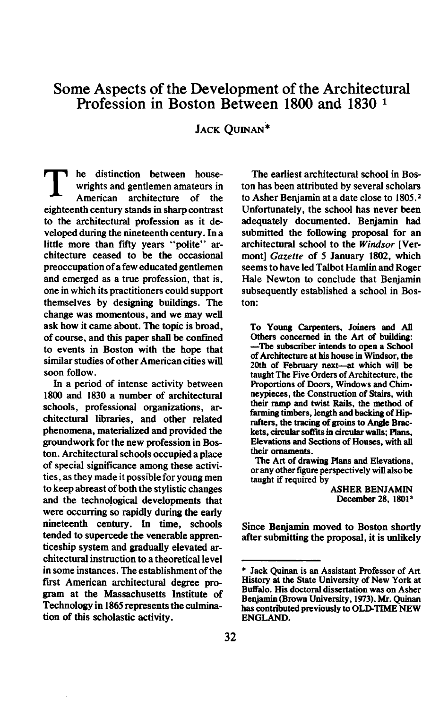## **Some Aspects of the Development of the Architectural**  Profession in Boston Between 1800 and 1830 <sup>1</sup>

**JACK QUINAN\*** 

he distinction between house-**1 wrights and gentlemen amateurs in**<br>American architecture of the American architecture of **eighteenth century stands in sharp contrast to the architectural profession as it developed during the nineteenth century. In a**  little more than fifty years "polite" ar**chitecture ceased to be the occasional preoccupation of a few educated gentlemen and emerged as a true profession, that is, one in which its practitioners could support themselves by designing buildings. The change was momentous, and we may well ask how it came about. The topic is broad,**  of course, and this paper shall be confined **to events in Boston with the hope that similar studies of other American cities will soon follow.** 

**In a period of intense activity between 1800 and 1830 a number of architectural schools, professional organizations, architectural libraries, and other related phenomena, materialized and provided the groundwork for the new profession in Boston. Architectural schools occupied a place of special significance among these activities, as they made it possible for young men to keep abreast of both the stylistic changes and the techno!ogical developments that were occurring so rapidly during the early nineteenth century. In time, schools tended to supercede the venerable apprenticeship system and gradually elevated architectural instruction to a theoretical level in some instances. The establishment of the first American architectural degree program at the Massachusetts Institute of Technology in 1865 represents the cuhnination of this scholastic activity.** 

**The earliest architectural school in Boston has been attributed by several scholars to Asher Benjamin at a date close to 1805.2 Unfortunately, the school has never been adequately documented. Benjamin had submitted the following proposal for an architectural school to the Windsor [Vermont] Gazette of 5 January 1802. which seems to have led Talbot Hamlin and Roger Hale Newton to conclude that Benjamin subsequently established a school in Boston:** 

**To Young Carpenters. Joiners and All Others concerned in the Art of building: -The subscriber intends to open a School of Architecture at his house in Windsor, the 20th of February next-at which will be taught The Five Orders of Architecture, the Proportions of Doors, Windows and Chimneypieces, the Construction of Stairs, with their ramp and twist Rails, the method of**  farming timbers, length and backing of Hip**rafters, the tracing of groins to Angle Brackets, circular soffits in circular walls; Plans, Elevations and Sections of Houses, with all their ornaments.** 

**The Art of drawing Plans and Elevations, or any other fgute perspectively will also be taught if required by** 

> **ASHER BENJAMIN**  December 28, 1801<sup>3</sup>

**Since Benjamin moved to Boston shortly after submitting the proposal, it is unlikely** 

**<sup>\*</sup> Jack Quinan is an Assistant Professor of Art History at the State University of New York at Buffalo. His doctotal dissertation was on Asher Benjamin (Brown University, 1973). Mr. Quinan has contributed previously to OLDTJME NEW ENGLAND.**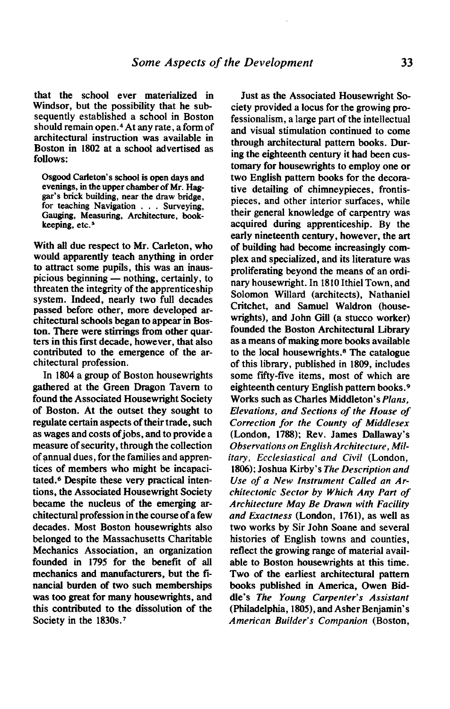**that the school ever materialized in Windsor, but the possibility that he subsequently established a school in Boston should remain open.4 At any rate, a form of architectural instruction was available in Boston in 1802 at a school advertised as follows:** 

**Osgood Carleton's school is open days and evenings, in the upper chamber of Mr. Haggar's brick building, near the draw bridge, for teaching Navigation . . . Surveying, Gauging, Measuring, Architecture, bookkeeping, etc.5** 

**With all due respect to Mr. Carleton, who would apparently teach anything in order to attract some pupils, this was an inaus**picious beginning — nothing, certainly, to **threaten the integrity of the apprenticeship system. Indeed, nearly two full decades passed before other, more developed architectural schools began to appear in Boston. There were stirrings from other quar**ters in this first decade, however, that also **contributed to the emergence of the architectural profession.** 

**In 1804 a group of Boston housewrights gathered at the Green Dragon Tavern to found the Associated Housewright Society of Boston. At the outset they sought to regulate certain aspects of their trade, such as wages and costs ofjobs, and to provide a measure of security, through the collection of annual dues, for the families and apprentices of members who might be incapacitated. Despite these very practical intentions, the Associated Housewright Society became the nucleus of the emerging architectural profession in the course of a few decades. Most Boston housewrights also belonged to the Massachusetts Charitable Mechanics Association, an organization founded in 1795 for the benefit of all mechanics and manufacturers, but the financial burden of two such memberships was too great for many housewrights, and this contributed to the dissolution of the Society in the 1830s.'** 

**Just as the Associated Housewright Society provided a locus for the growing professionalism, a large part of the intellectual and visual stimulation continued to come through architectural pattern books. During the eighteenth century it had been customary for housewrights to employ one or two English pattern books for the decorative detailing of chimneypieces, frontispieces, and other interior surfaces, while their general knowledge of carpentry was acquired during apprenticeship. By the early nineteenth century, however, the art of building had become increasingly complex and specialized, and its literature was proliferating beyond the means of an ordinary housewright. In 1810 Ithiel Town, and Solomon Willard (architects), Nathaniel Critchet, and Samuel Waldron (housewrights), and John Gill (a stucco worker) founded the Boston Architectural Library as a means of making more books available to the local housewrights. The catalogue of this library, published in 1809, includes some fifty-five items, most of which are eighteenth century English pattern books.9 Works such as Charles Middleton's Plans, Elevations, and Sections of the House of Correction for the County of Middlesex (London, 1788); Rev. James Dallaway's Observations on English Architecture, Military, Ecclesiastical and Civil (London, 1806); Joshua Kirby's The Description and Use of a New Instrument Called an Architectonic Sector by Which Any Part of Architecture May Be Drawn with Facility and Exactness (London, 1761), as well as two works by Sir John Soane and several histories of English towns and counties, reflect the growing range of material available to Boston housewrights at this time. Two of the earliest architectural pattern books published in America, Owen Biddle's The Young Carpenter's Assistant**  (Philadelphia, 1805), and Asher Benjamin's **American Builder's Companion (Boston,**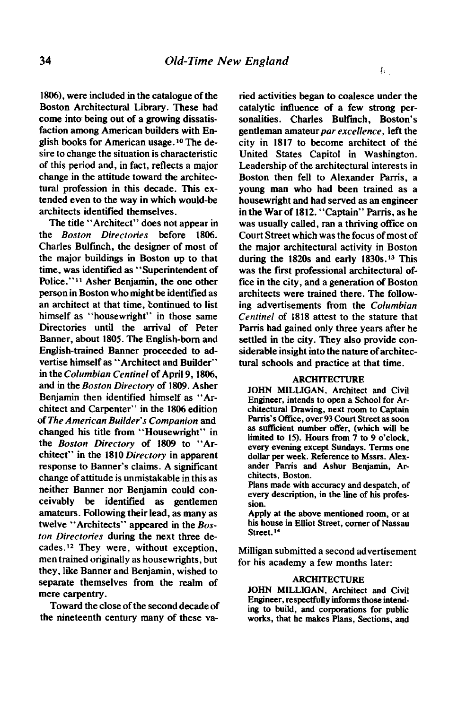**1806), were included in the catalogue of the Boston Architectural Library. These had come into being out of a growing dissatisfaction among American builders with En**glish books for American usage.<sup>10</sup> The de**sire to change the situation is characteristic of this period and, in fact, reflects a major change in the attitude toward the architectural profession in this decade. This extended even to the way in which would-be architects identified themselves.** 

**The title "Architect" does not appear in the Boston Directories before 1806. Charles Bulfmch, the designer of most of the major buildings in Boston up to that time, was identified as "Superintendent of**  Police."<sup>11</sup> Asher Benjamin, the one other **person in Boston who might be. identified as an architect at that time, Eontinued to list himself as "housewright" in those same Directories until the arrival of Peter Banner, about 1805. The English-born and English-trained Banner proceeded to advertise himself as "Architect and Builder"**  in the Columbian Centinel of April 9, 1806, **and in the Boston Directory of 1809. Asher Benjamin then identified himself as "Architect and Carpenter" in the 1806 edition of The American Builder's Companion and changed his title from "Housewright" in the Boston Directory of 1809 to "Architect" in the 1810 Directory in apparent response to Banner's claims. A significant change of attitude is unmistakable in this as neither Banner nor Benjamin could conceivably be identified as gentlemen amateurs. Following their lead, as many as twelve "Architects" appeared in the Boston Directories during the next three decades.12 They were, without exception, men trained originally as housewrights, but they, like Banner and Benjamin, wished to separate themselves from the realm of mere carpentry.** 

**Toward the close of the second decade of the nineteenth century many of these va-**

**ried activities began to coalesce under the catalytic influence of a few strong personalities. Charles Bulfmch, Boston's**  gentleman amateur par excellence, left the **city in 1817 to become architect of the United States Capitol in Washington. Leadership of the architectural interests in Boston then fell to Alexander Parris, a young man who had been trained as a housewright and had served as an engineer in the War of 1812. "Captain" Parris, as he was usually called, ran a thriving office on Court Street which was the focus of most of the major architectural activity in Boston during the 1820s and early 1830s.13 This was the first professional architectural office in the city, and a generation of Boston architects were trained there. The follow**ing advertisements from the *Columbian* **Centinel of 1818 attest to the stature that**  Parris had gained only three years after he **settled in the city. They also provide considerable insight into the nature of architectural schools and practice at that time.** 

## **ARCHITECTURE**

**JOHN MILLIGAN, Architect and Civil Engineer, intends to open a School for Architectural Drawing, next room to Captain**  Parris's Office, over 93 Court Street as soon **as sufficient number offer, (which will be**  limited to 15). Hours from 7 to 9 o'clock, **every evening except Sundays. Terms one dollar per week. Reference to Mssrs. Alex**ander Parris and Ashur Benjamin, Ar**chitects, Boston.** 

**Plans made with accuracy and despatch, of every description, in the line of his profession.** 

**Apply at the above mentioned room, or at his house in Elliot Street, comer of Nassau**  Street.<sup>14</sup>

**Milligan submitted a second advertisement for his academy a few months later:** 

## **ARCHITECTURB**

**JOHN MILLIGAN, Architect and Civil Engineer, respectfully informs those intending to build, and corporations for public works, that he makes Plans, Sections, and**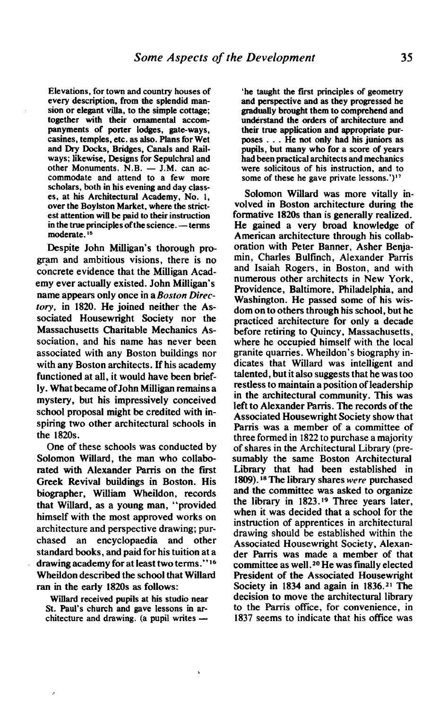**Elevations, for town and country houses of every description, from the splendid mansion or elegant villa, to the simple cottage; together with their ornamental accompanyments of porter lodges, gate-ways, casines, temples, etc. as also. Plans for Wet**  and Dry Docks, Bridges, Canals and Rail**ways; likewise, Designs for Sepulchral and**  other Monuments. N.B. - J.M. can ac**commodate and attend to a few more scholars, both in his evening and day classes, at his Architectural Academy, No. I, over the Boylston Market, where the strictest attention will be paid to their instruction in the true principles of the science. — terms moderate. I5** 

**Despite John Milligan's thorough program and ambitious visions, there is no concrete evidence that the Milligan Academy ever actually existed. John Mihigan's name appears only once in a Boston Directory, in 1820. He joined neither the Associated Housewright Society nor the Massachusetts Charitable Mechanics Association, and his name has never been associated with any Boston buildings nor with any Boston architects. If his academy functioned at all, it would have been briefly. What became ofJohn Milligan remains a mystery, but his impressively conceived school proposal might be credited with inspiring two other architectural schools in the 1820s.** 

**One of these schools was conducted by Solomon Willard, the man who collabo**rated with Alexander Parris on the first **Greek Revival buildings in Boston. His biographer, William Wheildon, records that Willard, as a young man, "provided himself with the most approved works on architecture and perspective drawing; purchased an encyclopaedia and other standard books, and paid for his tuition at a drawing academy for at least two terms ."I6 Wheildon described the school that Willard ran in the early 1820s as follows:** 

**Willard received pupils at his studio near**  St. Paul's church and gave lessons in architecture and drawing. (a pupil writes  $-$ 

**he ' taught the first principles of geometry and perspective and as they progressed he gradually brought them to comprehend and understand the orders of architecture and their true application and appropriate purposes . . . He not only had his juniors as pupils, but many who for a score of years had been practical architects and mechanics were solicitous of his instruction, and to some of these he gave private lessons.')"** 

**Solomon Willard was more vitally involved in Boston architecture during the formative 1820s than is generally realized. He gained a very broad knowledge of American architecture through his collaboration with Peter Banner, Asher Benjamin, Charles Bulfinch, Alexander Parris and Isaiah Rogers, in Boston, and with numerous other architects in New York, Providence, Baltimore, Philadelphia, and Washington. He passed some of his wisdom on to others through his school, but he practiced architecture for only a decade before retiring to Quincy, Massachusetts, where he occupied himself with the local granite quarries. Wheildon's biography indicates that Willard was intelligent and talented, but it also suggests that he was too restless to maintain a position of leadership in the architectural community. This was left to Alexander Parris. The records of the Associated Housewright Society show that**  Parris was a member of a committee of **three formed in 1822 to purchase a majority of shares in the Architectural Library (presumably the same Boston Architectural Library that had been established in 1809**). <sup>18</sup> The library shares *were* purchased **and the committee was asked to organize the library in 1823.19 Three years later, when it was decided that a school for the instruction of apprentices in architectural drawing should be established within the Associated Housewright Society, Alexander Parris was made a member of that**  committee as well.<sup>20</sup> He was finally elected **President of the Associated Housewright**  Society in 1834 and again in 1836.<sup>21</sup> The **decision to move the architectural library to the Parris offtce, for convenience, in 1837 seems to indicate that his office was**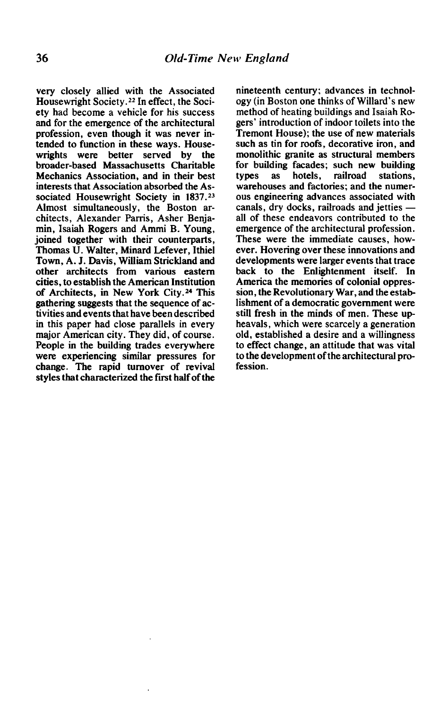**very closely allied with the Associated Housewright Society.22 In effect, the Society had become a vehicle for his success and for the emergence of the architectural profession, even though it was never intended to function in these ways. House**were better served by **broader-based Massachusetts Charitable Mechanics Association, and in their best interests that Association absorbed the Associated Housewright Society in 1837.23 Almost simultaneously, the Boston ar**chitects, Alexander Parris, Asher Benia**min, Isaiah Rogers and Ammi B. Young, joined together with their counterparts, Thomas U. Walter, Minard Lefever, Ithiel Town, A. J. Davis, Wiiiam Strickland and other architects from various eastern cities, to establish the American Institution**  of Architects, in New York City.<sup>24</sup> This **gathering suggests that the sequence of activities and events that have been described in this paper had close parallels in every major American city. They did, of course. People in the building trades everywhere were experiencing similar pressures for change. The rapid turnover of revival styles that characterized the fiit half of the** 

**nineteenth century; advances in technology (in Boston one thinks of Willard's new method of heating buildings and Isaiah Rogers' introduction of indoor toilets into the Tremont House); the use of new materials such as tin for roofs, decorative iron, and monolithic granite as structural members for building facades; such new building**  stations. **warehouses and factories; and the numerous engineering advances associated with canals, dry docks, railroads and jetties all of these endeavors contributed to the emergence of the architectural profession. These were the immediate causes, however. Hovering over these innovations and developments were larger events that trace back to the Enlightenment itself. In America the memories of colonial oppression, the Revolutionary War, and the establishment of a democratic government were still fresh in the minds of men. These upheavals, which were scarcely a generation old, established a desire and a willingness to effect change, an attitude that was vital to the development of the architectural profession.**